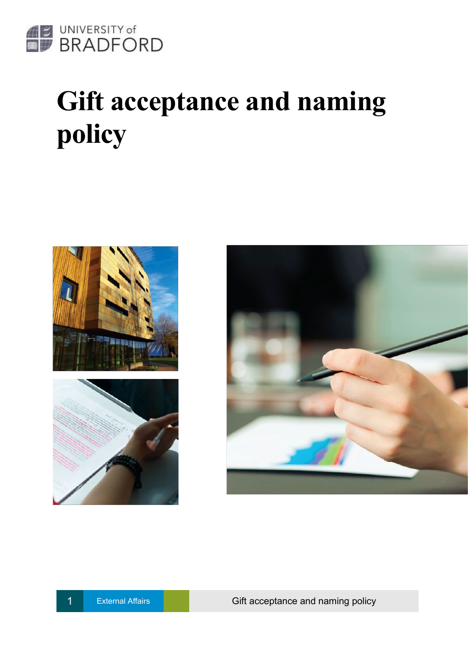

# **Gift acceptance and naming policy**







External Affairs **Container Affairs** Gift acceptance and naming policy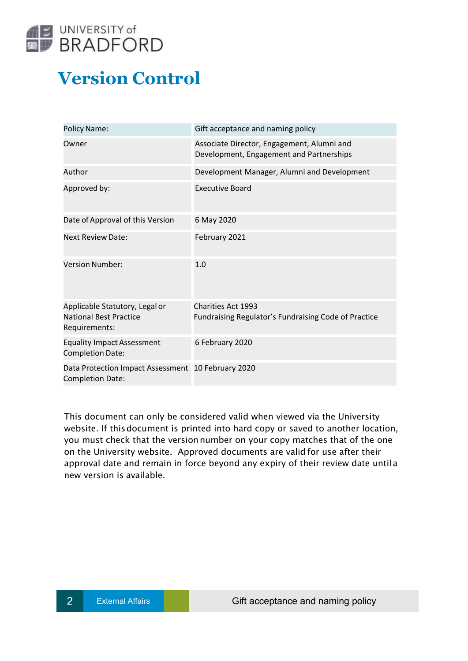

## **Version Control**

| <b>Policy Name:</b>                                                              | Gift acceptance and naming policy                                                      |  |
|----------------------------------------------------------------------------------|----------------------------------------------------------------------------------------|--|
| Owner                                                                            | Associate Director, Engagement, Alumni and<br>Development, Engagement and Partnerships |  |
| Author                                                                           | Development Manager, Alumni and Development                                            |  |
| Approved by:                                                                     | <b>Executive Board</b>                                                                 |  |
| Date of Approval of this Version                                                 | 6 May 2020                                                                             |  |
| <b>Next Review Date:</b>                                                         | February 2021                                                                          |  |
| <b>Version Number:</b>                                                           | 1.0                                                                                    |  |
| Applicable Statutory, Legal or<br><b>National Best Practice</b><br>Requirements: | <b>Charities Act 1993</b><br>Fundraising Regulator's Fundraising Code of Practice      |  |
| <b>Equality Impact Assessment</b><br><b>Completion Date:</b>                     | 6 February 2020                                                                        |  |
| Data Protection Impact Assessment 10 February 2020<br><b>Completion Date:</b>    |                                                                                        |  |

This document can only be considered valid when viewed via the University website. If thisdocument is printed into hard copy or saved to another location, you must check that the versionnumber on your copy matches that of the one on the University website. Approved documents are valid for use after their approval date and remain in force beyond any expiry of their review date until a new version is available.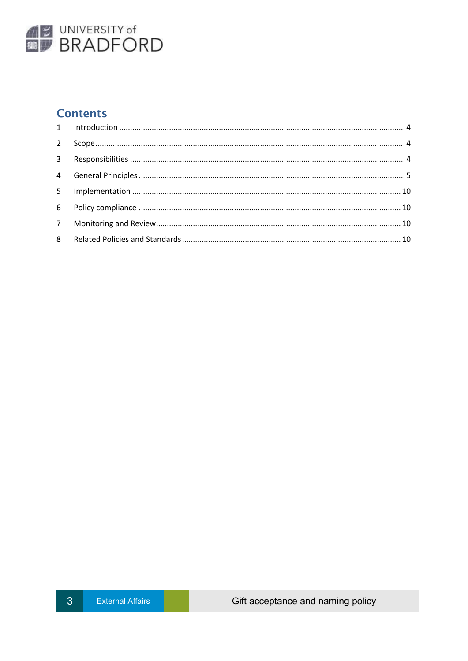

## **Contents**

| $2^{\circ}$ |  |
|-------------|--|
|             |  |
|             |  |
|             |  |
|             |  |
|             |  |
|             |  |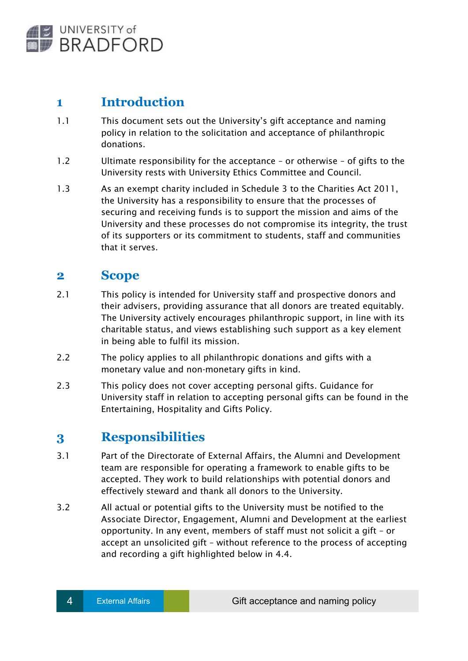

## <span id="page-3-0"></span>**1 Introduction**

- 1.1 This document sets out the University's gift acceptance and naming policy in relation to the solicitation and acceptance of philanthropic donations.
- 1.2 Ultimate responsibility for the acceptance or otherwise of gifts to the University rests with University Ethics Committee and Council.
- 1.3 As an exempt charity included in Schedule 3 to the Charities Act 2011, the University has a responsibility to ensure that the processes of securing and receiving funds is to support the mission and aims of the University and these processes do not compromise its integrity, the trust of its supporters or its commitment to students, staff and communities that it serves.

## <span id="page-3-1"></span>**2 Scope**

- 2.1 This policy is intended for University staff and prospective donors and their advisers, providing assurance that all donors are treated equitably. The University actively encourages philanthropic support, in line with its charitable status, and views establishing such support as a key element in being able to fulfil its mission.
- 2.2 The policy applies to all philanthropic donations and gifts with a monetary value and non-monetary gifts in kind.
- 2.3 This policy does not cover accepting personal gifts. Guidance for University staff in relation to accepting personal gifts can be found in the Entertaining, Hospitality and Gifts Policy.

## <span id="page-3-2"></span>**3 Responsibilities**

- 3.1 Part of the Directorate of External Affairs, the Alumni and Development team are responsible for operating a framework to enable gifts to be accepted. They work to build relationships with potential donors and effectively steward and thank all donors to the University.
- 3.2 All actual or potential gifts to the University must be notified to the Associate Director, Engagement, Alumni and Development at the earliest opportunity. In any event, members of staff must not solicit a gift – or accept an unsolicited gift – without reference to the process of accepting and recording a gift highlighted below in 4.4.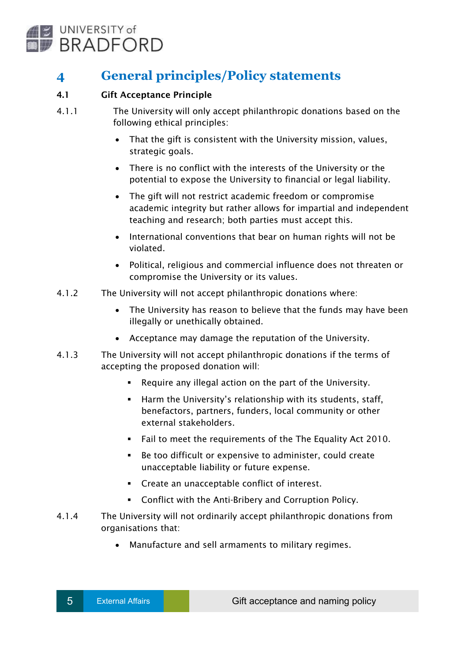

## <span id="page-4-0"></span>**4 General principles/Policy statements**

#### 4.1 Gift Acceptance Principle

- 4.1.1 The University will only accept philanthropic donations based on the following ethical principles:
	- That the gift is consistent with the University mission, values, strategic goals.
	- There is no conflict with the interests of the University or the potential to expose the University to financial or legal liability.
	- The gift will not restrict academic freedom or compromise academic integrity but rather allows for impartial and independent teaching and research; both parties must accept this.
	- International conventions that bear on human rights will not be violated.
	- Political, religious and commercial influence does not threaten or compromise the University or its values.
- 4.1.2 The University will not accept philanthropic donations where:
	- The University has reason to believe that the funds may have been illegally or unethically obtained.
	- Acceptance may damage the reputation of the University.
- 4.1.3 The University will not accept philanthropic donations if the terms of accepting the proposed donation will:
	- Require any illegal action on the part of the University.
	- **Harm the University's relationship with its students, staff,** benefactors, partners, funders, local community or other external stakeholders.
	- Fail to meet the requirements of the The Equality Act 2010.
	- Be too difficult or expensive to administer, could create unacceptable liability or future expense.
	- Create an unacceptable conflict of interest.
	- Conflict with the Anti-Bribery and Corruption Policy.
- 4.1.4 The University will not ordinarily accept philanthropic donations from organisations that:
	- Manufacture and sell armaments to military regimes.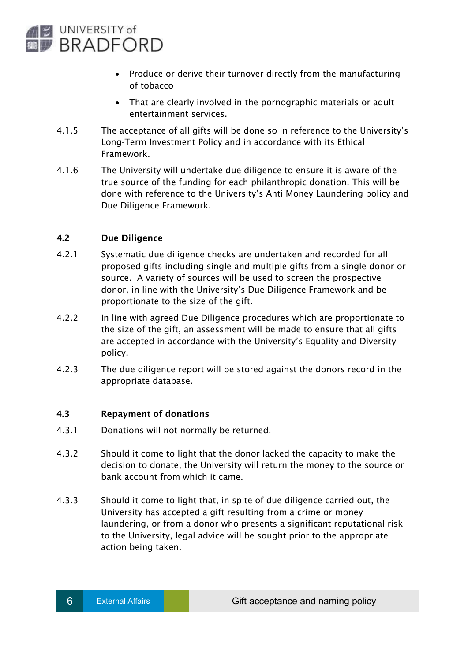

- Produce or derive their turnover directly from the manufacturing of tobacco
- That are clearly involved in the pornographic materials or adult entertainment services.
- 4.1.5 The acceptance of all gifts will be done so in reference to the University's Long-Term Investment Policy and in accordance with its Ethical Framework.
- 4.1.6 The University will undertake due diligence to ensure it is aware of the true source of the funding for each philanthropic donation. This will be done with reference to the University's Anti Money Laundering policy and Due Diligence Framework.

#### 4.2 Due Diligence

- 4.2.1 Systematic due diligence checks are undertaken and recorded for all proposed gifts including single and multiple gifts from a single donor or source. A variety of sources will be used to screen the prospective donor, in line with the University's Due Diligence Framework and be proportionate to the size of the gift.
- 4.2.2 In line with agreed Due Diligence procedures which are proportionate to the size of the gift, an assessment will be made to ensure that all gifts are accepted in accordance with the University's Equality and Diversity policy.
- 4.2.3 The due diligence report will be stored against the donors record in the appropriate database.

#### 4.3 Repayment of donations

- 4.3.1 Donations will not normally be returned.
- 4.3.2 Should it come to light that the donor lacked the capacity to make the decision to donate, the University will return the money to the source or bank account from which it came.
- 4.3.3 Should it come to light that, in spite of due diligence carried out, the University has accepted a gift resulting from a crime or money laundering, or from a donor who presents a significant reputational risk to the University, legal advice will be sought prior to the appropriate action being taken.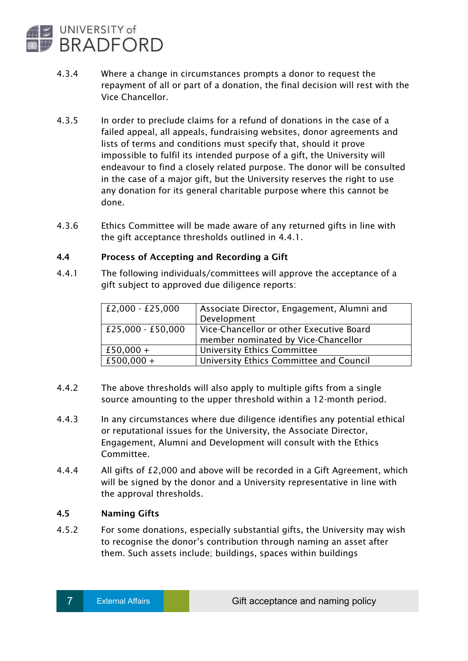

- 4.3.4 Where a change in circumstances prompts a donor to request the repayment of all or part of a donation, the final decision will rest with the Vice Chancellor.
- 4.3.5 In order to preclude claims for a refund of donations in the case of a failed appeal, all appeals, fundraising websites, donor agreements and lists of terms and conditions must specify that, should it prove impossible to fulfil its intended purpose of a gift, the University will endeavour to find a closely related purpose. The donor will be consulted in the case of a major gift, but the University reserves the right to use any donation for its general charitable purpose where this cannot be done.
- 4.3.6 Ethics Committee will be made aware of any returned gifts in line with the gift acceptance thresholds outlined in 4.4.1.

#### 4.4 Process of Accepting and Recording a Gift

4.4.1 The following individuals/committees will approve the acceptance of a gift subject to approved due diligence reports:

| £2,000 - £25,000  | Associate Director, Engagement, Alumni and<br>Development                       |  |
|-------------------|---------------------------------------------------------------------------------|--|
| £25,000 - £50,000 | Vice-Chancellor or other Executive Board<br>member nominated by Vice-Chancellor |  |
| £50,000 +         | <b>University Ethics Committee</b>                                              |  |
| £500,000 +        | University Ethics Committee and Council                                         |  |

- 4.4.2 The above thresholds will also apply to multiple gifts from a single source amounting to the upper threshold within a 12-month period.
- 4.4.3 In any circumstances where due diligence identifies any potential ethical or reputational issues for the University, the Associate Director, Engagement, Alumni and Development will consult with the Ethics Committee.
- 4.4.4 All gifts of £2,000 and above will be recorded in a Gift Agreement, which will be signed by the donor and a University representative in line with the approval thresholds.

#### 4.5 Naming Gifts

4.5.2 For some donations, especially substantial gifts, the University may wish to recognise the donor's contribution through naming an asset after them. Such assets include; buildings, spaces within buildings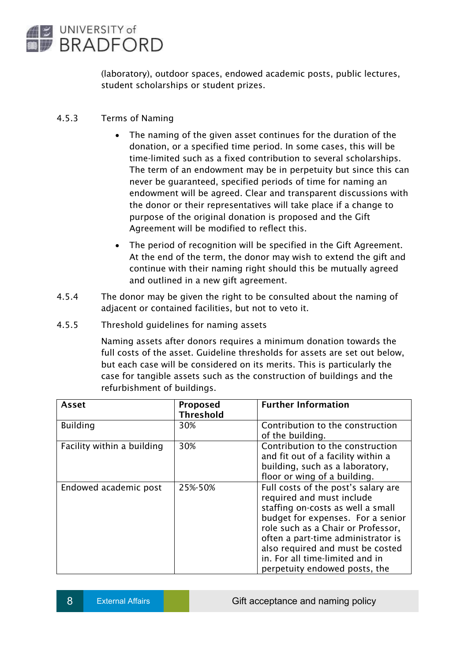

(laboratory), outdoor spaces, endowed academic posts, public lectures, student scholarships or student prizes.

#### 4.5.3 Terms of Naming

- The naming of the given asset continues for the duration of the donation, or a specified time period. In some cases, this will be time-limited such as a fixed contribution to several scholarships. The term of an endowment may be in perpetuity but since this can never be guaranteed, specified periods of time for naming an endowment will be agreed. Clear and transparent discussions with the donor or their representatives will take place if a change to purpose of the original donation is proposed and the Gift Agreement will be modified to reflect this.
- The period of recognition will be specified in the Gift Agreement. At the end of the term, the donor may wish to extend the gift and continue with their naming right should this be mutually agreed and outlined in a new gift agreement.
- 4.5.4 The donor may be given the right to be consulted about the naming of adjacent or contained facilities, but not to veto it.
- 4.5.5 Threshold guidelines for naming assets

Naming assets after donors requires a minimum donation towards the full costs of the asset. Guideline thresholds for assets are set out below, but each case will be considered on its merits. This is particularly the case for tangible assets such as the construction of buildings and the refurbishment of buildings.

| <b>Asset</b>               | Proposed<br><b>Threshold</b> | <b>Further Information</b>                                                                                                                                                                                                                                                                                                     |
|----------------------------|------------------------------|--------------------------------------------------------------------------------------------------------------------------------------------------------------------------------------------------------------------------------------------------------------------------------------------------------------------------------|
| <b>Building</b>            | 30%                          | Contribution to the construction<br>of the building.                                                                                                                                                                                                                                                                           |
| Facility within a building | 30%                          | Contribution to the construction<br>and fit out of a facility within a<br>building, such as a laboratory,<br>floor or wing of a building.                                                                                                                                                                                      |
| Endowed academic post      | 25%-50%                      | Full costs of the post's salary are<br>required and must include<br>staffing on-costs as well a small<br>budget for expenses. For a senior<br>role such as a Chair or Professor,<br>often a part-time administrator is<br>also required and must be costed<br>in. For all time-limited and in<br>perpetuity endowed posts, the |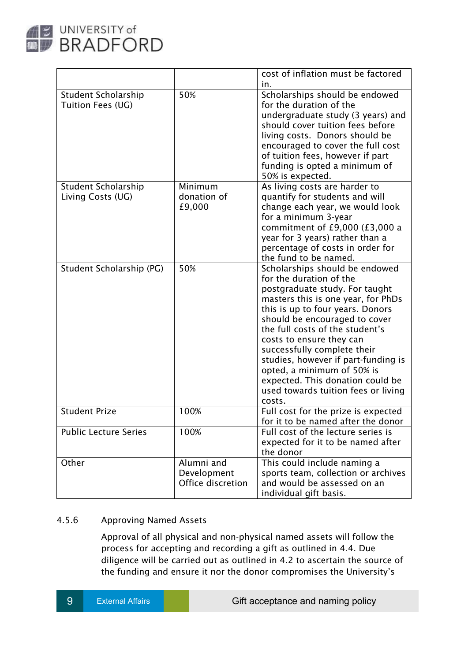

|                                                 |                                                | cost of inflation must be factored<br>in.                                                                                                                                                                                                                                                                                                                                                                                                                      |
|-------------------------------------------------|------------------------------------------------|----------------------------------------------------------------------------------------------------------------------------------------------------------------------------------------------------------------------------------------------------------------------------------------------------------------------------------------------------------------------------------------------------------------------------------------------------------------|
| <b>Student Scholarship</b><br>Tuition Fees (UG) | 50%                                            | Scholarships should be endowed<br>for the duration of the<br>undergraduate study (3 years) and<br>should cover tuition fees before<br>living costs. Donors should be<br>encouraged to cover the full cost<br>of tuition fees, however if part<br>funding is opted a minimum of<br>50% is expected.                                                                                                                                                             |
| Student Scholarship<br>Living Costs (UG)        | Minimum<br>donation of<br>£9,000               | As living costs are harder to<br>quantify for students and will<br>change each year, we would look<br>for a minimum 3-year<br>commitment of £9,000 $(£3,000 a$<br>year for 3 years) rather than a<br>percentage of costs in order for<br>the fund to be named.                                                                                                                                                                                                 |
| Student Scholarship (PG)                        | 50%                                            | Scholarships should be endowed<br>for the duration of the<br>postgraduate study. For taught<br>masters this is one year, for PhDs<br>this is up to four years. Donors<br>should be encouraged to cover<br>the full costs of the student's<br>costs to ensure they can<br>successfully complete their<br>studies, however if part-funding is<br>opted, a minimum of 50% is<br>expected. This donation could be<br>used towards tuition fees or living<br>costs. |
| <b>Student Prize</b>                            | 100%                                           | Full cost for the prize is expected<br>for it to be named after the donor                                                                                                                                                                                                                                                                                                                                                                                      |
| <b>Public Lecture Series</b>                    | 100%                                           | Full cost of the lecture series is<br>expected for it to be named after<br>the donor                                                                                                                                                                                                                                                                                                                                                                           |
| Other                                           | Alumni and<br>Development<br>Office discretion | This could include naming a<br>sports team, collection or archives<br>and would be assessed on an<br>individual gift basis.                                                                                                                                                                                                                                                                                                                                    |

#### 4.5.6 Approving Named Assets

Approval of all physical and non-physical named assets will follow the process for accepting and recording a gift as outlined in 4.4. Due diligence will be carried out as outlined in 4.2 to ascertain the source of the funding and ensure it nor the donor compromises the University's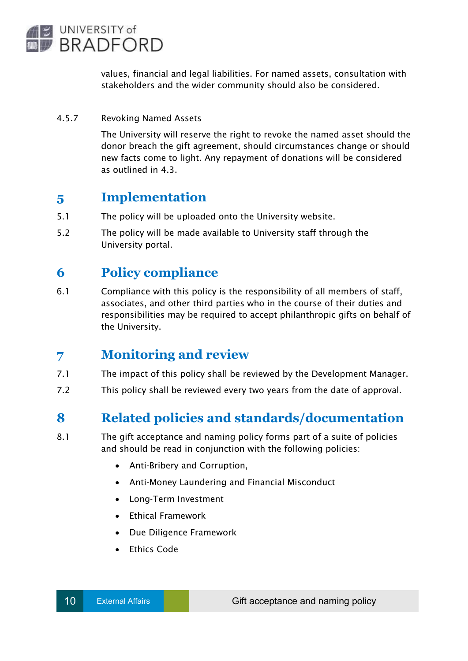

values, financial and legal liabilities. For named assets, consultation with stakeholders and the wider community should also be considered.

#### 4.5.7 Revoking Named Assets

The University will reserve the right to revoke the named asset should the donor breach the gift agreement, should circumstances change or should new facts come to light. Any repayment of donations will be considered as outlined in 4.3.

### <span id="page-9-0"></span>**5 Implementation**

- 5.1 The policy will be uploaded onto the University website.
- 5.2 The policy will be made available to University staff through the University portal.

## <span id="page-9-1"></span>**6 Policy compliance**

6.1 Compliance with this policy is the responsibility of all members of staff, associates, and other third parties who in the course of their duties and responsibilities may be required to accept philanthropic gifts on behalf of the University.

## **7 Monitoring and review**

- 7.1 The impact of this policy shall be reviewed by the Development Manager.
- 7.2 This policy shall be reviewed every two years from the date of approval.

## <span id="page-9-2"></span>**8 Related policies and standards/documentation**

- 8.1 The gift acceptance and naming policy forms part of a suite of policies and should be read in conjunction with the following policies:
	- Anti-Bribery and Corruption,
	- Anti-Money Laundering and Financial Misconduct
	- Long-Term Investment
	- Ethical Framework
	- Due Diligence Framework
	- Ethics Code